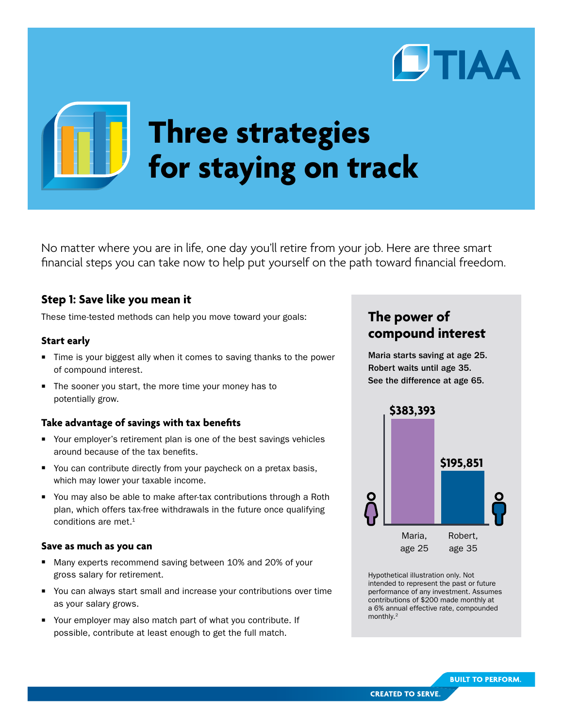

# **Three strategies for staying on track**

No matter where you are in life, one day you'll retire from your job. Here are three smart financial steps you can take now to help put yourself on the path toward financial freedom.

## **Step 1: Save like you mean it**

These time-tested methods can help you move toward your goals:

#### **Start early**

- Time is your biggest ally when it comes to saving thanks to the power of compound interest.
- The sooner you start, the more time your money has to potentially grow.

#### **Take advantage of savings with tax benefits**

- Your employer's retirement plan is one of the best savings vehicles around because of the tax benefits.
- You can contribute directly from your paycheck on a pretax basis, which may lower your taxable income.
- You may also be able to make after-tax contributions through a Roth plan, which offers tax-free withdrawals in the future once qualifying conditions are met.<sup>1</sup>

#### **Save as much as you can**

- Many experts recommend saving between 10% and 20% of your gross salary for retirement.
- Vou can always start small and increase your contributions over time as your salary grows.
- Your employer may also match part of what you contribute. If possible, contribute at least enough to get the full match.

# **The power of compound interest**

Maria starts saving at age 25. Robert waits until age 35. See the difference at age 65.



Hypothetical illustration only. Not intended to represent the past or future performance of any investment. Assumes contributions of \$200 made monthly at a 6% annual effective rate, compounded monthly.2